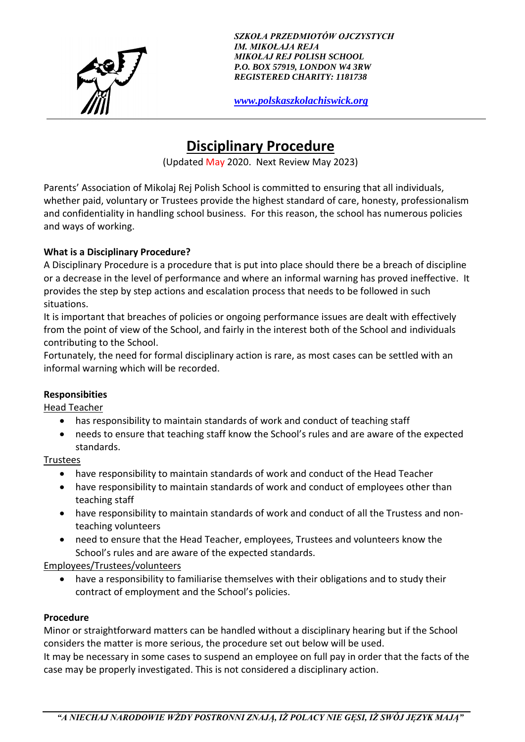

*SZKOŁA PRZEDMIOTÓW OJCZYSTYCH IM. MIKOŁAJA REJA MIKOŁAJ REJ POLISH SCHOOL P.O. BOX 57919, LONDON W4 3RW REGISTERED CHARITY: 1181738*

*[www.polskaszkolachiswick.org](http://www.polskaszkolachiswick.org/)*

# **Disciplinary Procedure**

(Updated May 2020. Next Review May 2023)

Parents' Association of Mikolaj Rej Polish School is committed to ensuring that all individuals, whether paid, voluntary or Trustees provide the highest standard of care, honesty, professionalism and confidentiality in handling school business. For this reason, the school has numerous policies and ways of working.

# **What is a Disciplinary Procedure?**

A Disciplinary Procedure is a procedure that is put into place should there be a breach of discipline or a decrease in the level of performance and where an informal warning has proved ineffective. It provides the step by step actions and escalation process that needs to be followed in such situations.

It is important that breaches of policies or ongoing performance issues are dealt with effectively from the point of view of the School, and fairly in the interest both of the School and individuals contributing to the School.

Fortunately, the need for formal disciplinary action is rare, as most cases can be settled with an informal warning which will be recorded.

# **Responsibities**

Head Teacher

- has responsibility to maintain standards of work and conduct of teaching staff
- needs to ensure that teaching staff know the School's rules and are aware of the expected standards.

**Trustees** 

- have responsibility to maintain standards of work and conduct of the Head Teacher
- have responsibility to maintain standards of work and conduct of employees other than teaching staff
- have responsibility to maintain standards of work and conduct of all the Trustess and nonteaching volunteers
- need to ensure that the Head Teacher, employees, Trustees and volunteers know the School's rules and are aware of the expected standards.

# Employees/Trustees/volunteers

• have a responsibility to familiarise themselves with their obligations and to study their contract of employment and the School's policies.

# **Procedure**

Minor or straightforward matters can be handled without a disciplinary hearing but if the School considers the matter is more serious, the procedure set out below will be used. It may be necessary in some cases to suspend an employee on full pay in order that the facts of the

case may be properly investigated. This is not considered a disciplinary action.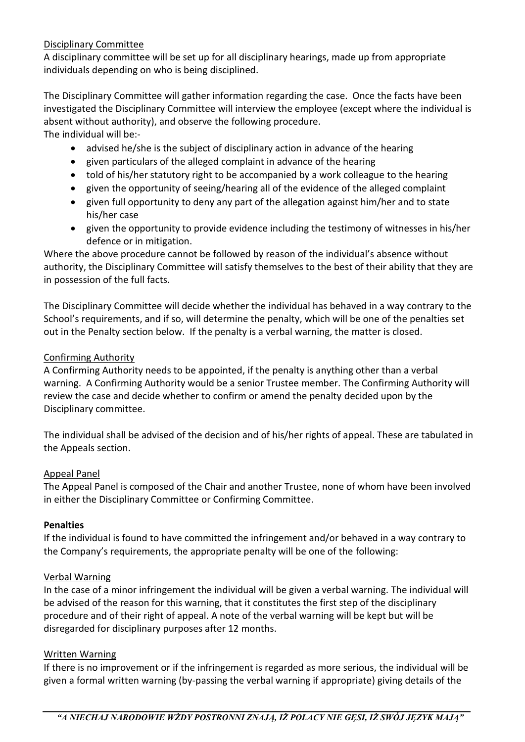## Disciplinary Committee

A disciplinary committee will be set up for all disciplinary hearings, made up from appropriate individuals depending on who is being disciplined.

The Disciplinary Committee will gather information regarding the case. Once the facts have been investigated the Disciplinary Committee will interview the employee (except where the individual is absent without authority), and observe the following procedure.

The individual will be:-

- advised he/she is the subject of disciplinary action in advance of the hearing
- given particulars of the alleged complaint in advance of the hearing
- told of his/her statutory right to be accompanied by a work colleague to the hearing
- given the opportunity of seeing/hearing all of the evidence of the alleged complaint
- given full opportunity to deny any part of the allegation against him/her and to state his/her case
- given the opportunity to provide evidence including the testimony of witnesses in his/her defence or in mitigation.

Where the above procedure cannot be followed by reason of the individual's absence without authority, the Disciplinary Committee will satisfy themselves to the best of their ability that they are in possession of the full facts.

The Disciplinary Committee will decide whether the individual has behaved in a way contrary to the School's requirements, and if so, will determine the penalty, which will be one of the penalties set out in the Penalty section below. If the penalty is a verbal warning, the matter is closed.

## Confirming Authority

A Confirming Authority needs to be appointed, if the penalty is anything other than a verbal warning. A Confirming Authority would be a senior Trustee member. The Confirming Authority will review the case and decide whether to confirm or amend the penalty decided upon by the Disciplinary committee.

The individual shall be advised of the decision and of his/her rights of appeal. These are tabulated in the Appeals section.

#### Appeal Panel

The Appeal Panel is composed of the Chair and another Trustee, none of whom have been involved in either the Disciplinary Committee or Confirming Committee.

#### **Penalties**

If the individual is found to have committed the infringement and/or behaved in a way contrary to the Company's requirements, the appropriate penalty will be one of the following:

#### Verbal Warning

In the case of a minor infringement the individual will be given a verbal warning. The individual will be advised of the reason for this warning, that it constitutes the first step of the disciplinary procedure and of their right of appeal. A note of the verbal warning will be kept but will be disregarded for disciplinary purposes after 12 months.

#### Written Warning

If there is no improvement or if the infringement is regarded as more serious, the individual will be given a formal written warning (by-passing the verbal warning if appropriate) giving details of the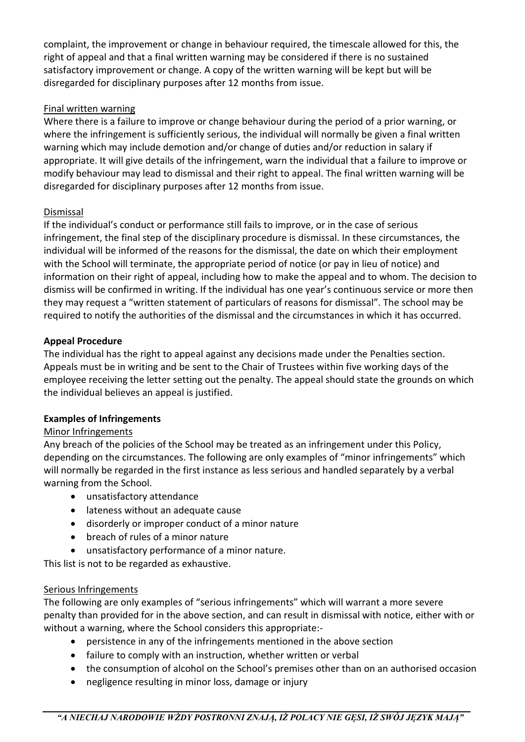complaint, the improvement or change in behaviour required, the timescale allowed for this, the right of appeal and that a final written warning may be considered if there is no sustained satisfactory improvement or change. A copy of the written warning will be kept but will be disregarded for disciplinary purposes after 12 months from issue.

## Final written warning

Where there is a failure to improve or change behaviour during the period of a prior warning, or where the infringement is sufficiently serious, the individual will normally be given a final written warning which may include demotion and/or change of duties and/or reduction in salary if appropriate. It will give details of the infringement, warn the individual that a failure to improve or modify behaviour may lead to dismissal and their right to appeal. The final written warning will be disregarded for disciplinary purposes after 12 months from issue.

## Dismissal

If the individual's conduct or performance still fails to improve, or in the case of serious infringement, the final step of the disciplinary procedure is dismissal. In these circumstances, the individual will be informed of the reasons for the dismissal, the date on which their employment with the School will terminate, the appropriate period of notice (or pay in lieu of notice) and information on their right of appeal, including how to make the appeal and to whom. The decision to dismiss will be confirmed in writing. If the individual has one year's continuous service or more then they may request a "written statement of particulars of reasons for dismissal". The school may be required to notify the authorities of the dismissal and the circumstances in which it has occurred.

## **Appeal Procedure**

The individual has the right to appeal against any decisions made under the Penalties section. Appeals must be in writing and be sent to the Chair of Trustees within five working days of the employee receiving the letter setting out the penalty. The appeal should state the grounds on which the individual believes an appeal is justified.

# **Examples of Infringements**

# Minor Infringements

Any breach of the policies of the School may be treated as an infringement under this Policy, depending on the circumstances. The following are only examples of "minor infringements" which will normally be regarded in the first instance as less serious and handled separately by a verbal warning from the School.

- unsatisfactory attendance
- lateness without an adequate cause
- disorderly or improper conduct of a minor nature
- breach of rules of a minor nature
- unsatisfactory performance of a minor nature.

This list is not to be regarded as exhaustive.

#### Serious Infringements

The following are only examples of "serious infringements" which will warrant a more severe penalty than provided for in the above section, and can result in dismissal with notice, either with or without a warning, where the School considers this appropriate:-

- persistence in any of the infringements mentioned in the above section
- failure to comply with an instruction, whether written or verbal
- the consumption of alcohol on the School's premises other than on an authorised occasion
- negligence resulting in minor loss, damage or injury